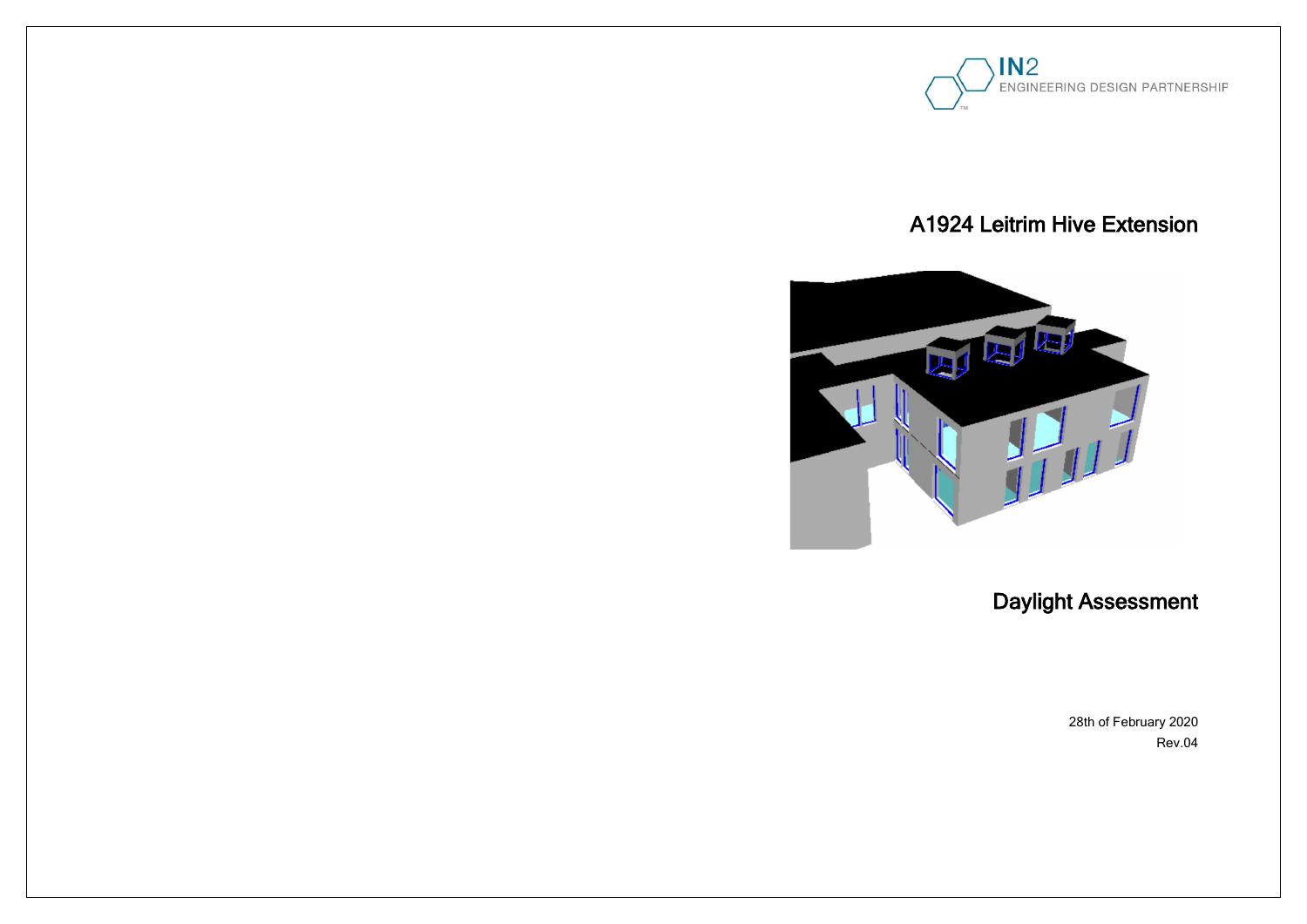



## A1924 Leitrim Hive Extension

# Daylight Assessment

28th of February 2020 Rev.04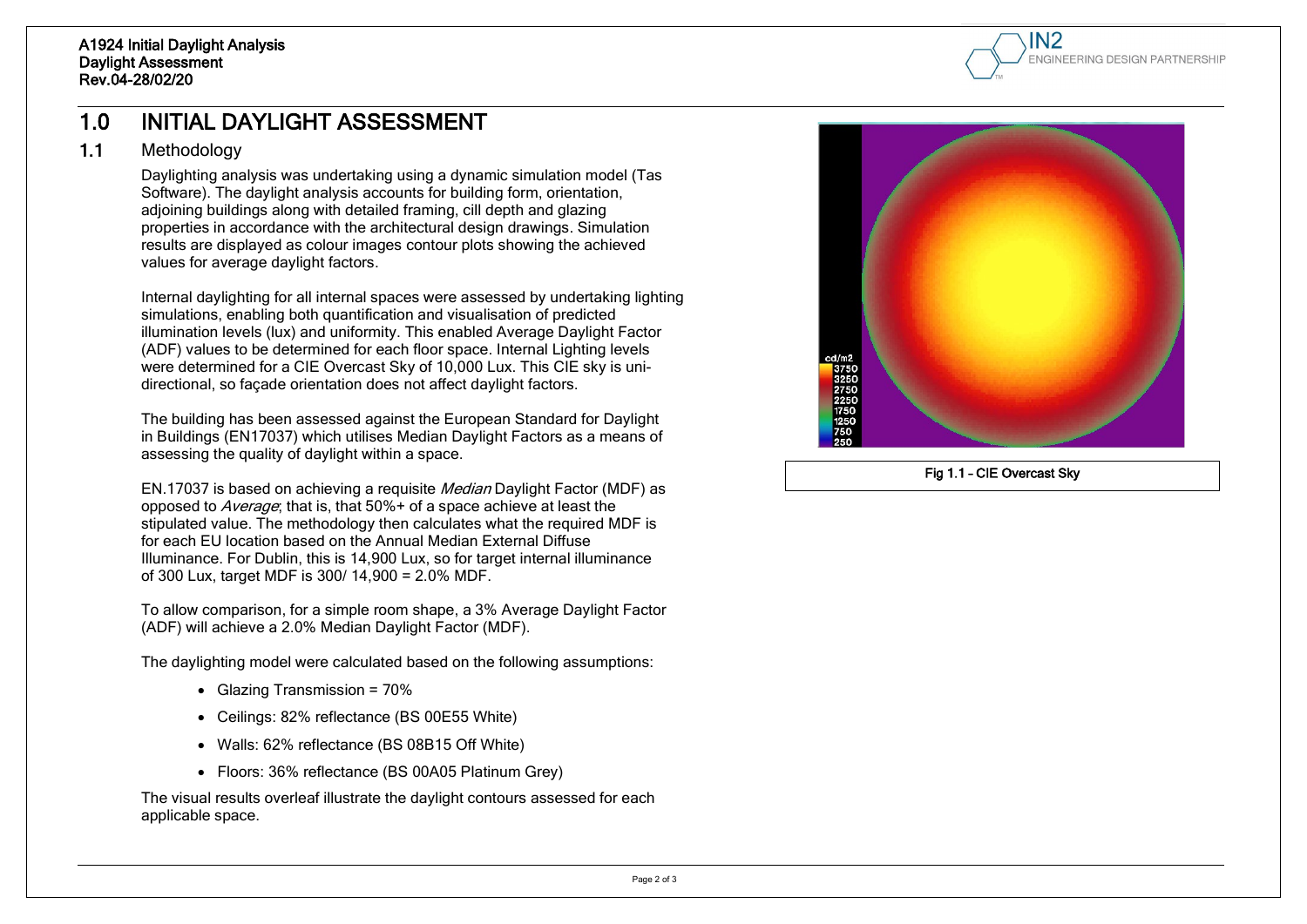

## 1.0 INITIAL DAYLIGHT ASSESSMENT

#### 1.1 Methodology

Daylighting analysis was undertaking using a dynamic simulation model (Tas Software). The daylight analysis accounts for building form, orientation, adjoining buildings along with detailed framing, cill depth and glazing properties in accordance with the architectural design drawings. Simulation results are displayed as colour images contour plots showing the achieved values for average daylight factors.

Internal daylighting for all internal spaces were assessed by undertaking lighting simulations, enabling both quantification and visualisation of predicted illumination levels (lux) and uniformity. This enabled Average Daylight Factor (ADF) values to be determined for each floor space. Internal Lighting levels were determined for a CIE Overcast Sky of 10,000 Lux. This CIE sky is unidirectional, so façade orientation does not affect daylight factors.

- Glazing Transmission = 70%
- Ceilings: 82% reflectance (BS 00E55 White)
- Walls: 62% reflectance (BS 08B15 Off White)
- Floors: 36% reflectance (BS 00A05 Platinum Grey)

The building has been assessed against the European Standard for Daylight in Buildings (EN17037) which utilises Median Daylight Factors as a means of assessing the quality of daylight within a space.

EN.17037 is based on achieving a requisite Median Daylight Factor (MDF) as opposed to *Average*; that is, that 50%+ of a space achieve at least the stipulated value. The methodology then calculates what the required MDF is for each EU location based on the Annual Median External Diffuse Illuminance. For Dublin, this is 14,900 Lux, so for target internal illuminance of 300 Lux, target MDF is 300/ 14,900 = 2.0% MDF.

To allow comparison, for a simple room shape, a 3% Average Daylight Factor (ADF) will achieve a 2.0% Median Daylight Factor (MDF).

The daylighting model were calculated based on the following assumptions:

The visual results overleaf illustrate the daylight contours assessed for each applicable space.



Fig 1.1 – CIE Overcast Sky